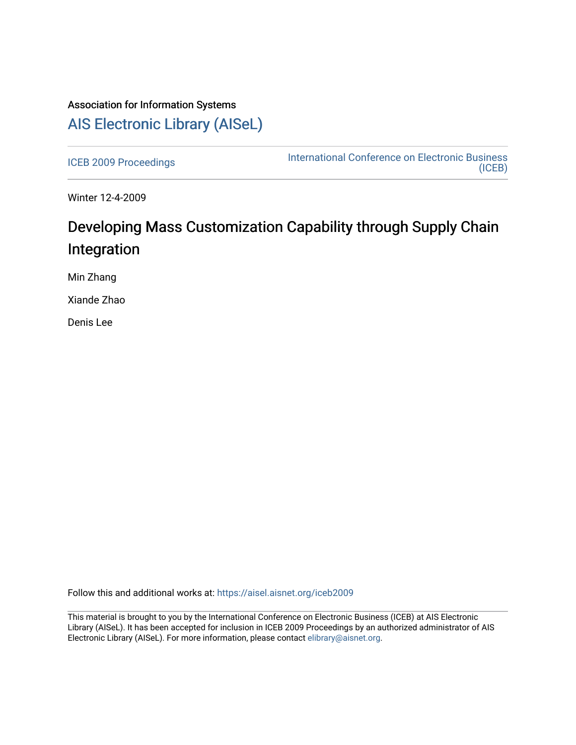# Association for Information Systems [AIS Electronic Library \(AISeL\)](https://aisel.aisnet.org/)

[ICEB 2009 Proceedings](https://aisel.aisnet.org/iceb2009) **International Conference on Electronic Business** [\(ICEB\)](https://aisel.aisnet.org/iceb) 

Winter 12-4-2009

# Developing Mass Customization Capability through Supply Chain Integration

Min Zhang

Xiande Zhao

Denis Lee

Follow this and additional works at: [https://aisel.aisnet.org/iceb2009](https://aisel.aisnet.org/iceb2009?utm_source=aisel.aisnet.org%2Ficeb2009%2F157&utm_medium=PDF&utm_campaign=PDFCoverPages)

This material is brought to you by the International Conference on Electronic Business (ICEB) at AIS Electronic Library (AISeL). It has been accepted for inclusion in ICEB 2009 Proceedings by an authorized administrator of AIS Electronic Library (AISeL). For more information, please contact [elibrary@aisnet.org.](mailto:elibrary@aisnet.org%3E)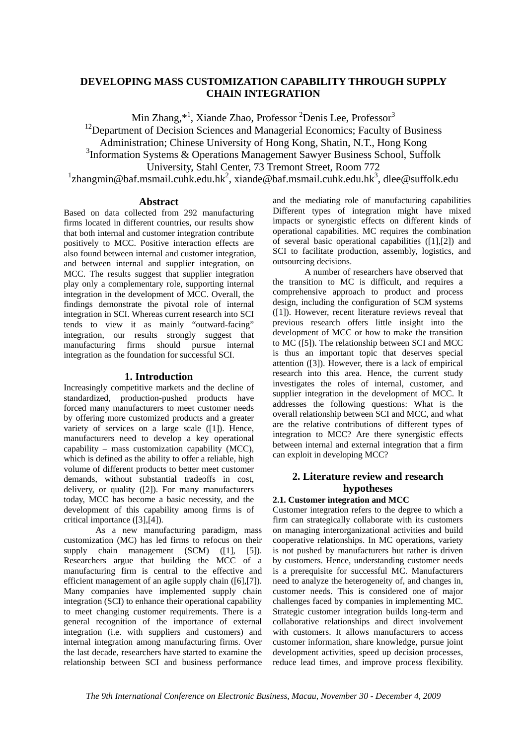## **DEVELOPING MASS CUSTOMIZATION CAPABILITY THROUGH SUPPLY CHAIN INTEGRATION**

Min Zhang,\*<sup>1</sup>, Xiande Zhao, Professor <sup>2</sup>Denis Lee, Professor<sup>3</sup>

 $12$ Department of Decision Sciences and Managerial Economics; Faculty of Business

Administration; Chinese University of Hong Kong, Shatin, N.T., Hong Kong

<sup>3</sup>Information Systems & Operations Management Sawyer Business School, Suffolk

University, Stahl Center, 73 Tremont Street, Room 772

<sup>1</sup>zhangmin@baf.msmail.cuhk.edu.hk<sup>2</sup>, xiande@baf.msmail.cuhk.edu.hk<sup>3</sup>, dlee@suffolk.edu

#### **Abstract**

Based on data collected from 292 manufacturing firms located in different countries, our results show that both internal and customer integration contribute positively to MCC. Positive interaction effects are also found between internal and customer integration, and between internal and supplier integration, on MCC. The results suggest that supplier integration play only a complementary role, supporting internal integration in the development of MCC. Overall, the findings demonstrate the pivotal role of internal integration in SCI. Whereas current research into SCI tends to view it as mainly "outward-facing" integration, our results strongly suggest that manufacturing firms should pursue internal integration as the foundation for successful SCI.

#### **1. Introduction**

Increasingly competitive markets and the decline of standardized, production-pushed products have forced many manufacturers to meet customer needs by offering more customized products and a greater variety of services on a large scale ([1]). Hence, manufacturers need to develop a key operational capability – mass customization capability (MCC), which is defined as the ability to offer a reliable, high volume of different products to better meet customer demands, without substantial tradeoffs in cost, delivery, or quality ([2]). For many manufacturers today, MCC has become a basic necessity, and the development of this capability among firms is of critical importance ([3],[4]).

As a new manufacturing paradigm, mass customization (MC) has led firms to refocus on their supply chain management (SCM) ([1], [5]). Researchers argue that building the MCC of a manufacturing firm is central to the effective and efficient management of an agile supply chain ([6],[7]). Many companies have implemented supply chain integration (SCI) to enhance their operational capability to meet changing customer requirements. There is a general recognition of the importance of external integration (i.e. with suppliers and customers) and internal integration among manufacturing firms. Over the last decade, researchers have started to examine the relationship between SCI and business performance and the mediating role of manufacturing capabilities Different types of integration might have mixed impacts or synergistic effects on different kinds of operational capabilities. MC requires the combination of several basic operational capabilities ([1],[2]) and SCI to facilitate production, assembly, logistics, and outsourcing decisions.

A number of researchers have observed that the transition to MC is difficult, and requires a comprehensive approach to product and process design, including the configuration of SCM systems ([1]). However, recent literature reviews reveal that previous research offers little insight into the development of MCC or how to make the transition to MC ([5]). The relationship between SCI and MCC is thus an important topic that deserves special attention ([3]). However, there is a lack of empirical research into this area. Hence, the current study investigates the roles of internal, customer, and supplier integration in the development of MCC. It addresses the following questions: What is the overall relationship between SCI and MCC, and what are the relative contributions of different types of integration to MCC? Are there synergistic effects between internal and external integration that a firm can exploit in developing MCC?

### **2. Literature review and research hypotheses**

#### **2.1. Customer integration and MCC**

Customer integration refers to the degree to which a firm can strategically collaborate with its customers on managing interorganizational activities and build cooperative relationships. In MC operations, variety is not pushed by manufacturers but rather is driven by customers. Hence, understanding customer needs is a prerequisite for successful MC. Manufacturers need to analyze the heterogeneity of, and changes in, customer needs. This is considered one of major challenges faced by companies in implementing MC. Strategic customer integration builds long-term and collaborative relationships and direct involvement with customers. It allows manufacturers to access customer information, share knowledge, pursue joint development activities, speed up decision processes, reduce lead times, and improve process flexibility.

*The 9th International Conference on Electronic Business, Macau, November 30 - December 4, 2009*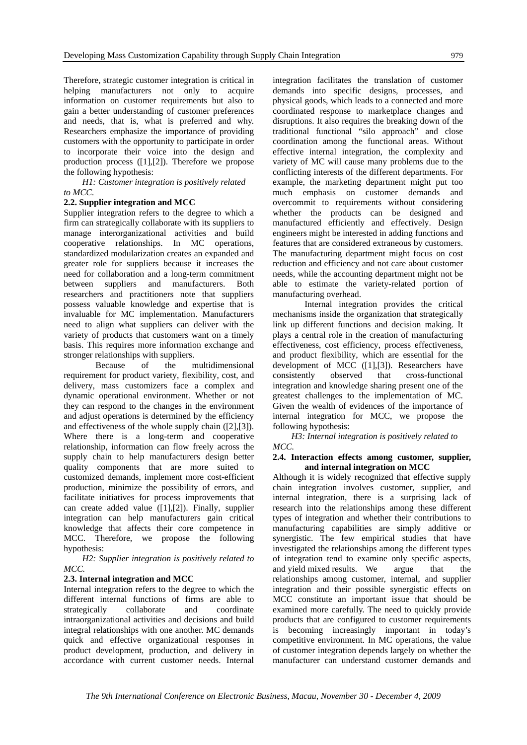Therefore, strategic customer integration is critical in helping manufacturers not only to acquire information on customer requirements but also to gain a better understanding of customer preferences and needs, that is, what is preferred and why. Researchers emphasize the importance of providing customers with the opportunity to participate in order to incorporate their voice into the design and production process ([1],[2]). Therefore we propose the following hypothesis:

 *H1: Customer integration is positively related to MCC.*

#### **2.2. Supplier integration and MCC**

Supplier integration refers to the degree to which a firm can strategically collaborate with its suppliers to manage interorganizational activities and build cooperative relationships. In MC operations, standardized modularization creates an expanded and greater role for suppliers because it increases the need for collaboration and a long-term commitment between suppliers and manufacturers. Both researchers and practitioners note that suppliers possess valuable knowledge and expertise that is invaluable for MC implementation. Manufacturers need to align what suppliers can deliver with the variety of products that customers want on a timely basis. This requires more information exchange and stronger relationships with suppliers.

Because of the multidimensional requirement for product variety, flexibility, cost, and delivery, mass customizers face a complex and dynamic operational environment. Whether or not they can respond to the changes in the environment and adjust operations is determined by the efficiency and effectiveness of the whole supply chain ([2],[3]). Where there is a long-term and cooperative relationship, information can flow freely across the supply chain to help manufacturers design better quality components that are more suited to customized demands, implement more cost-efficient production, minimize the possibility of errors, and facilitate initiatives for process improvements that can create added value ([1],[2]). Finally, supplier integration can help manufacturers gain critical knowledge that affects their core competence in MCC. Therefore, we propose the following hypothesis:

#### *H2: Supplier integration is positively related to MCC.*

#### **2.3. Internal integration and MCC**

Internal integration refers to the degree to which the different internal functions of firms are able to strategically collaborate and coordinate intraorganizational activities and decisions and build integral relationships with one another. MC demands quick and effective organizational responses in product development, production, and delivery in accordance with current customer needs. Internal

integration facilitates the translation of customer demands into specific designs, processes, and physical goods, which leads to a connected and more coordinated response to marketplace changes and disruptions. It also requires the breaking down of the traditional functional "silo approach" and close coordination among the functional areas. Without effective internal integration, the complexity and variety of MC will cause many problems due to the conflicting interests of the different departments. For example, the marketing department might put too much emphasis on customer demands and overcommit to requirements without considering whether the products can be designed and manufactured efficiently and effectively. Design engineers might be interested in adding functions and features that are considered extraneous by customers. The manufacturing department might focus on cost reduction and efficiency and not care about customer needs, while the accounting department might not be able to estimate the variety-related portion of manufacturing overhead.

Internal integration provides the critical mechanisms inside the organization that strategically link up different functions and decision making. It plays a central role in the creation of manufacturing effectiveness, cost efficiency, process effectiveness, and product flexibility, which are essential for the development of MCC ([1],[3]). Researchers have consistently observed that cross-functional integration and knowledge sharing present one of the greatest challenges to the implementation of MC. Given the wealth of evidences of the importance of internal integration for MCC, we propose the following hypothesis:

 *H3: Internal integration is positively related to MCC.* 

#### **2.4. Interaction effects among customer, supplier, and internal integration on MCC**

Although it is widely recognized that effective supply chain integration involves customer, supplier, and internal integration, there is a surprising lack of research into the relationships among these different types of integration and whether their contributions to manufacturing capabilities are simply additive or synergistic. The few empirical studies that have investigated the relationships among the different types of integration tend to examine only specific aspects, and yield mixed results. We argue that the relationships among customer, internal, and supplier integration and their possible synergistic effects on MCC constitute an important issue that should be examined more carefully. The need to quickly provide products that are configured to customer requirements is becoming increasingly important in today's competitive environment. In MC operations, the value of customer integration depends largely on whether the manufacturer can understand customer demands and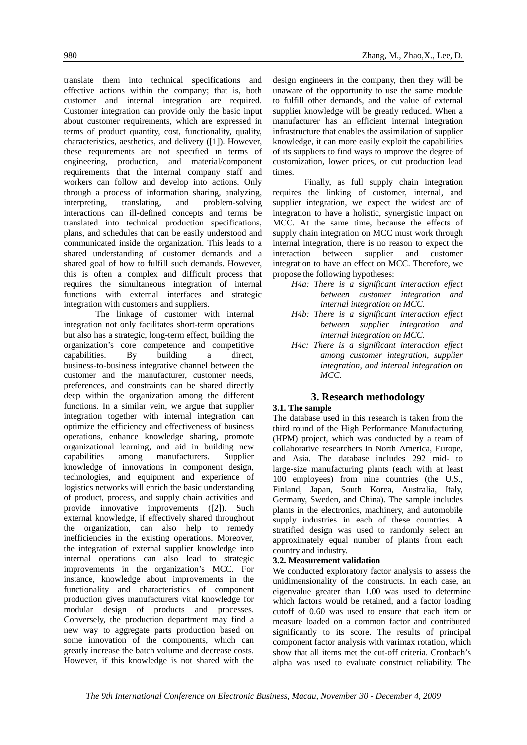translate them into technical specifications and effective actions within the company; that is, both customer and internal integration are required. Customer integration can provide only the basic input about customer requirements, which are expressed in terms of product quantity, cost, functionality, quality, characteristics, aesthetics, and delivery ([1]). However, these requirements are not specified in terms of engineering, production, and material/component requirements that the internal company staff and workers can follow and develop into actions. Only through a process of information sharing, analyzing, interpreting, translating, and problem-solving interactions can ill-defined concepts and terms be translated into technical production specifications, times.

plans, and schedules that can be easily understood and communicated inside the organization. This leads to a shared understanding of customer demands and a shared goal of how to fulfill such demands. However, this is often a complex and difficult process that requires the simultaneous integration of internal functions with external interfaces and strategic integration with customers and suppliers.

The linkage of customer with internal integration not only facilitates short-term operations but also has a strategic, long-term effect, building the organization's core competence and competitive capabilities. By building a direct, business-to-business integrative channel between the customer and the manufacturer, customer needs, preferences, and constraints can be shared directly deep within the organization among the different functions. In a similar vein, we argue that supplier integration together with internal integration can optimize the efficiency and effectiveness of business operations, enhance knowledge sharing, promote organizational learning, and aid in building new capabilities among manufacturers. Supplier knowledge of innovations in component design, technologies, and equipment and experience of logistics networks will enrich the basic understanding of product, process, and supply chain activities and provide innovative improvements ([2]). Such external knowledge, if effectively shared throughout the organization, can also help to remedy inefficiencies in the existing operations. Moreover, the integration of external supplier knowledge into internal operations can also lead to strategic improvements in the organization's MCC. For instance, knowledge about improvements in the functionality and characteristics of component production gives manufacturers vital knowledge for modular design of products and processes. Conversely, the production department may find a new way to aggregate parts production based on some innovation of the components, which can greatly increase the batch volume and decrease costs. However, if this knowledge is not shared with the

design engineers in the company, then they will be unaware of the opportunity to use the same module to fulfill other demands, and the value of external supplier knowledge will be greatly reduced. When a manufacturer has an efficient internal integration infrastructure that enables the assimilation of supplier knowledge, it can more easily exploit the capabilities of its suppliers to find ways to improve the degree of customization, lower prices, or cut production lead

Finally, as full supply chain integration requires the linking of customer, internal, and supplier integration, we expect the widest arc of integration to have a holistic, synergistic impact on MCC. At the same time, because the effects of supply chain integration on MCC must work through internal integration, there is no reason to expect the interaction between supplier and customer integration to have an effect on MCC. Therefore, we propose the following hypotheses:

- *H4a: There is a significant interaction effect between customer integration and internal integration on MCC.*
- *H4b: There is a significant interaction effect between supplier integration and internal integration on MCC.*
- *H4c: There is a significant interaction effect among customer integration, supplier integration, and internal integration on*   $MCC$

#### **3. Research methodology**

#### **3.1. The sample**

The database used in this research is taken from the third round of the High Performance Manufacturing (HPM) project, which was conducted by a team of collaborative researchers in North America, Europe, and Asia. The database includes 292 mid- to large-size manufacturing plants (each with at least 100 employees) from nine countries (the U.S., Finland, Japan, South Korea, Australia, Italy, Germany, Sweden, and China). The sample includes plants in the electronics, machinery, and automobile supply industries in each of these countries. A stratified design was used to randomly select an approximately equal number of plants from each country and industry.

#### **3.2. Measurement validation**

We conducted exploratory factor analysis to assess the unidimensionality of the constructs. In each case, an eigenvalue greater than 1.00 was used to determine which factors would be retained, and a factor loading cutoff of 0.60 was used to ensure that each item or measure loaded on a common factor and contributed significantly to its score. The results of principal component factor analysis with varimax rotation, which show that all items met the cut-off criteria. Cronbach's alpha was used to evaluate construct reliability. The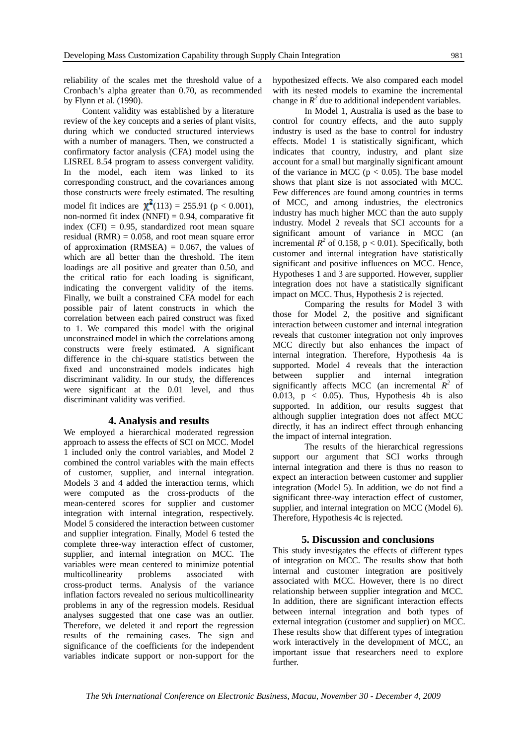reliability of the scales met the threshold value of a Cronbach's alpha greater than 0.70, as recommended by Flynn et al. (1990).

Content validity was established by a literature review of the key concepts and a series of plant visits, during which we conducted structured interviews with a number of managers. Then, we constructed a confirmatory factor analysis (CFA) model using the LISREL 8.54 program to assess convergent validity. In the model, each item was linked to its corresponding construct, and the covariances among those constructs were freely estimated. The resulting model fit indices are  $\chi^2(113) = 255.91$  (p < 0.001), non-normed fit index  $(NNFI) = 0.94$ , comparative fit index (CFI) =  $0.95$ , standardized root mean square residual  $(RMR) = 0.058$ , and root mean square error of approximation  $(RMSEA) = 0.067$ , the values of which are all better than the threshold. The item loadings are all positive and greater than 0.50, and the critical ratio for each loading is significant, indicating the convergent validity of the items. Finally, we built a constrained CFA model for each possible pair of latent constructs in which the correlation between each paired construct was fixed to 1. We compared this model with the original unconstrained model in which the correlations among constructs were freely estimated. A significant difference in the chi-square statistics between the fixed and unconstrained models indicates high discriminant validity. In our study, the differences were significant at the 0.01 level, and thus discriminant validity was verified.

#### **4. Analysis and results**

We employed a hierarchical moderated regression approach to assess the effects of SCI on MCC. Model 1 included only the control variables, and Model 2 combined the control variables with the main effects of customer, supplier, and internal integration. Models 3 and 4 added the interaction terms, which were computed as the cross-products of the mean-centered scores for supplier and customer integration with internal integration, respectively. Model 5 considered the interaction between customer and supplier integration. Finally, Model 6 tested the complete three-way interaction effect of customer, supplier, and internal integration on MCC. The variables were mean centered to minimize potential multicollinearity problems associated with cross-product terms. Analysis of the variance inflation factors revealed no serious multicollinearity problems in any of the regression models. Residual analyses suggested that one case was an outlier. Therefore, we deleted it and report the regression results of the remaining cases. The sign and significance of the coefficients for the independent variables indicate support or non-support for the

hypothesized effects. We also compared each model with its nested models to examine the incremental change in  $R^2$  due to additional independent variables.

In Model 1, Australia is used as the base to control for country effects, and the auto supply industry is used as the base to control for industry effects. Model 1 is statistically significant, which indicates that country, industry, and plant size account for a small but marginally significant amount of the variance in MCC ( $p < 0.05$ ). The base model shows that plant size is not associated with MCC. Few differences are found among countries in terms of MCC, and among industries, the electronics industry has much higher MCC than the auto supply industry. Model 2 reveals that SCI accounts for a significant amount of variance in MCC (an incremental  $R^2$  of 0.158,  $p < 0.01$ ). Specifically, both customer and internal integration have statistically significant and positive influences on MCC. Hence, Hypotheses 1 and 3 are supported. However, supplier integration does not have a statistically significant impact on MCC. Thus, Hypothesis 2 is rejected.

Comparing the results for Model 3 with those for Model 2, the positive and significant interaction between customer and internal integration reveals that customer integration not only improves MCC directly but also enhances the impact of internal integration. Therefore, Hypothesis 4a is supported. Model 4 reveals that the interaction between supplier and internal integration significantly affects MCC (an incremental  $R^2$  of 0.013,  $p \le 0.05$ ). Thus, Hypothesis 4b is also supported. In addition, our results suggest that although supplier integration does not affect MCC directly, it has an indirect effect through enhancing the impact of internal integration.

The results of the hierarchical regressions support our argument that SCI works through internal integration and there is thus no reason to expect an interaction between customer and supplier integration (Model 5). In addition, we do not find a significant three-way interaction effect of customer, supplier, and internal integration on MCC (Model 6). Therefore, Hypothesis 4c is rejected.

#### **5. Discussion and conclusions**

This study investigates the effects of different types of integration on MCC. The results show that both internal and customer integration are positively associated with MCC. However, there is no direct relationship between supplier integration and MCC. In addition, there are significant interaction effects between internal integration and both types of external integration (customer and supplier) on MCC. These results show that different types of integration work interactively in the development of MCC, an important issue that researchers need to explore further.